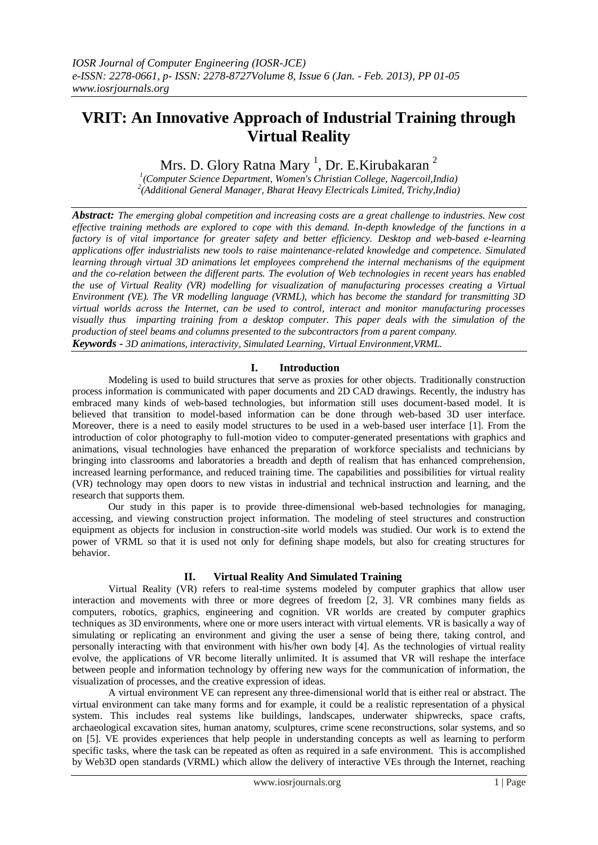# **VRIT: An Innovative Approach of Industrial Training through Virtual Reality**

Mrs. D. Glory Ratna Mary <sup>1</sup>, Dr. E.Kirubakaran <sup>2</sup>

*1 (Computer Science Department, Women's Christian College, Nagercoil,India) 2 (Additional General Manager, Bharat Heavy Electricals Limited, Trichy,India)*

*Abstract: The emerging global competition and increasing costs are a great challenge to industries. New cost effective training methods are explored to cope with this demand. In-depth knowledge of the functions in a factory is of vital importance for greater safety and better efficiency. Desktop and web-based e-learning applications offer industrialists new tools to raise maintenance-related knowledge and competence. Simulated learning through virtual 3D animations let employees comprehend the internal mechanisms of the equipment and the co-relation between the different parts. The evolution of Web technologies in recent years has enabled the use of Virtual Reality (VR) modelling for visualization of manufacturing processes creating a Virtual Environment (VE). The VR modelling language (VRML), which has become the standard for transmitting 3D virtual worlds across the Internet, can be used to control, interact and monitor manufacturing processes visually thus imparting training from a desktop computer. This paper deals with the simulation of the production of steel beams and columns presented to the subcontractors from a parent company. Keywords - 3D animations, interactivity, Simulated Learning, Virtual Environment,VRML.*

### **I. Introduction**

Modeling is used to build structures that serve as proxies for other objects. Traditionally construction process information is communicated with paper documents and 2D CAD drawings. Recently, the industry has embraced many kinds of web-based technologies, but information still uses document-based model. It is believed that transition to model-based information can be done through web-based 3D user interface. Moreover, there is a need to easily model structures to be used in a web-based user interface [1]. From the introduction of color photography to full-motion video to computer-generated presentations with graphics and animations, visual technologies have enhanced the preparation of workforce specialists and technicians by bringing into classrooms and laboratories a breadth and depth of realism that has enhanced comprehension, increased learning performance, and reduced training time. The capabilities and possibilities for virtual reality (VR) technology may open doors to new vistas in industrial and technical instruction and learning, and the research that supports them.

Our study in this paper is to provide three-dimensional web-based technologies for managing, accessing, and viewing construction project information. The modeling of steel structures and construction equipment as objects for inclusion in construction-site world models was studied. Our work is to extend the power of VRML so that it is used not only for defining shape models, but also for creating structures for behavior.

# **II. Virtual Reality And Simulated Training**

Virtual Reality (VR) refers to real-time systems modeled by computer graphics that allow user interaction and movements with three or more degrees of freedom [2, 3]. VR combines many fields as computers, robotics, graphics, engineering and cognition. VR worlds are created by computer graphics techniques as 3D environments, where one or more users interact with virtual elements. VR is basically a way of simulating or replicating an environment and giving the user a sense of being there, taking control, and personally interacting with that environment with his/her own body [4]. As the technologies of virtual reality evolve, the applications of VR become literally unlimited. It is assumed that VR will reshape the interface between people and information technology by offering new ways for the communication of information, the visualization of processes, and the creative expression of ideas.

A virtual environment VE can represent any three-dimensional world that is either real or abstract. The virtual environment can take many forms and for example, it could be a realistic representation of a physical system. This includes real systems like buildings, landscapes, underwater shipwrecks, space crafts, archaeological excavation sites, human anatomy, sculptures, crime scene reconstructions, solar systems, and so on [5]. VE provides experiences that help people in understanding concepts as well as learning to perform specific tasks, where the task can be repeated as often as required in a safe environment. This is accomplished by Web3D open standards (VRML) which allow the delivery of interactive VEs through the Internet, reaching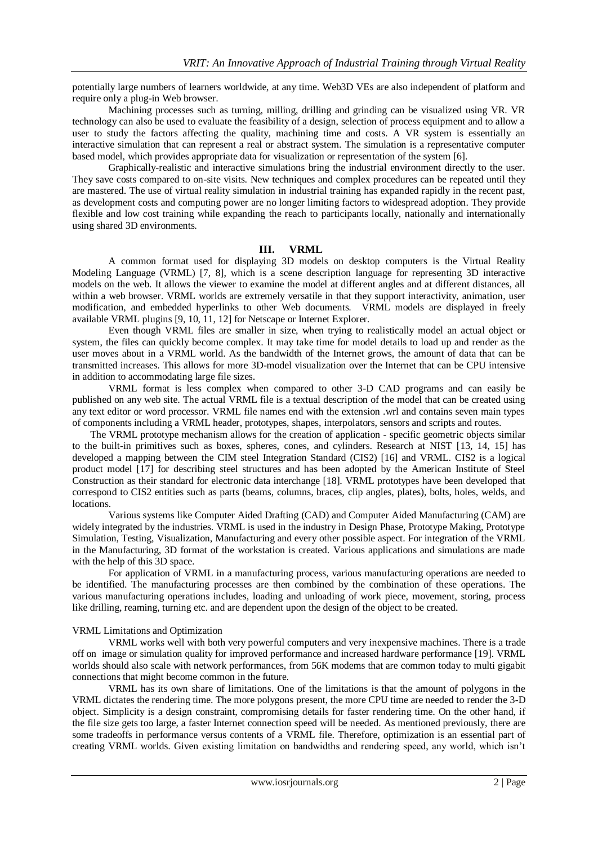potentially large numbers of learners worldwide, at any time. Web3D VEs are also independent of platform and require only a plug-in Web browser.

Machining processes such as turning, milling, drilling and grinding can be visualized using VR. VR technology can also be used to evaluate the feasibility of a design, selection of process equipment and to allow a user to study the factors affecting the quality, machining time and costs. A VR system is essentially an interactive simulation that can represent a real or abstract system. The simulation is a representative computer based model, which provides appropriate data for visualization or representation of the system [6].

Graphically-realistic and interactive simulations bring the industrial environment directly to the user. They save costs compared to on-site visits. New techniques and complex procedures can be repeated until they are mastered. The use of virtual reality simulation in industrial training has expanded rapidly in the recent past, as development costs and computing power are no longer limiting factors to widespread adoption. They provide flexible and low cost training while expanding the reach to participants locally, nationally and internationally using shared 3D environments.

## **III. VRML**

A common format used for displaying 3D models on desktop computers is the Virtual Reality Modeling Language (VRML) [7, 8], which is a scene description language for representing 3D interactive models on the web. It allows the viewer to examine the model at different angles and at different distances, all within a web browser. VRML worlds are extremely versatile in that they support interactivity, animation, user modification, and embedded hyperlinks to other Web documents. VRML models are displayed in freely available VRML plugins [9, 10, 11, 12] for Netscape or Internet Explorer.

Even though VRML files are smaller in size, when trying to realistically model an actual object or system, the files can quickly become complex. It may take time for model details to load up and render as the user moves about in a VRML world. As the bandwidth of the Internet grows, the amount of data that can be transmitted increases. This allows for more 3D-model visualization over the Internet that can be CPU intensive in addition to accommodating large file sizes.

VRML format is less complex when compared to other 3-D CAD programs and can easily be published on any web site. The actual VRML file is a textual description of the model that can be created using any text editor or word processor. VRML file names end with the extension .wrl and contains seven main types of components including a VRML header, prototypes, shapes, interpolators, sensors and scripts and routes.

The VRML prototype mechanism allows for the creation of application - specific geometric objects similar to the built-in primitives such as boxes, spheres, cones, and cylinders. Research at NIST [13, 14, 15] has developed a mapping between the CIM steel Integration Standard (CIS2) [16] and VRML. CIS2 is a logical product model [17] for describing steel structures and has been adopted by the American Institute of Steel Construction as their standard for electronic data interchange [18]. VRML prototypes have been developed that correspond to CIS2 entities such as parts (beams, columns, braces, clip angles, plates), bolts, holes, welds, and locations.

Various systems like Computer Aided Drafting (CAD) and Computer Aided Manufacturing (CAM) are widely integrated by the industries. VRML is used in the industry in Design Phase, Prototype Making, Prototype Simulation, Testing, Visualization, Manufacturing and every other possible aspect. For integration of the VRML in the Manufacturing, 3D format of the workstation is created. Various applications and simulations are made with the help of this 3D space.

For application of VRML in a manufacturing process, various manufacturing operations are needed to be identified. The manufacturing processes are then combined by the combination of these operations. The various manufacturing operations includes, loading and unloading of work piece, movement, storing, process like drilling, reaming, turning etc. and are dependent upon the design of the object to be created.

#### VRML Limitations and Optimization

VRML works well with both very powerful computers and very inexpensive machines. There is a trade off on image or simulation quality for improved performance and increased hardware performance [19]. VRML worlds should also scale with network performances, from 56K modems that are common today to multi gigabit connections that might become common in the future.

VRML has its own share of limitations. One of the limitations is that the amount of polygons in the VRML dictates the rendering time. The more polygons present, the more CPU time are needed to render the 3-D object. Simplicity is a design constraint, compromising details for faster rendering time. On the other hand, if the file size gets too large, a faster Internet connection speed will be needed. As mentioned previously, there are some tradeoffs in performance versus contents of a VRML file. Therefore, optimization is an essential part of creating VRML worlds. Given existing limitation on bandwidths and rendering speed, any world, which isn't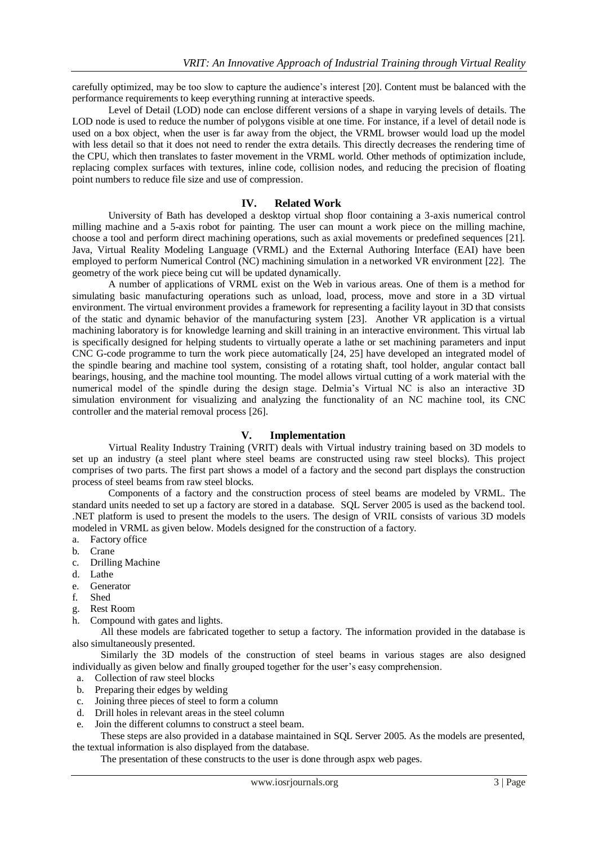carefully optimized, may be too slow to capture the audience's interest [20]. Content must be balanced with the performance requirements to keep everything running at interactive speeds.

Level of Detail (LOD) node can enclose different versions of a shape in varying levels of details. The LOD node is used to reduce the number of polygons visible at one time. For instance, if a level of detail node is used on a box object, when the user is far away from the object, the VRML browser would load up the model with less detail so that it does not need to render the extra details. This directly decreases the rendering time of the CPU, which then translates to faster movement in the VRML world. Other methods of optimization include, replacing complex surfaces with textures, inline code, collision nodes, and reducing the precision of floating point numbers to reduce file size and use of compression.

### **IV. Related Work**

University of Bath has developed a desktop virtual shop floor containing a 3-axis numerical control milling machine and a 5-axis robot for painting. The user can mount a work piece on the milling machine, choose a tool and perform direct machining operations, such as axial movements or predefined sequences [21]. Java, Virtual Reality Modeling Language (VRML) and the External Authoring Interface (EAI) have been employed to perform Numerical Control (NC) machining simulation in a networked VR environment [22]. The geometry of the work piece being cut will be updated dynamically.

A number of applications of VRML exist on the Web in various areas. One of them is a method for simulating basic manufacturing operations such as unload, load, process, move and store in a 3D virtual environment. The virtual environment provides a framework for representing a facility layout in 3D that consists of the static and dynamic behavior of the manufacturing system [23]. Another VR application is a virtual machining laboratory is for knowledge learning and skill training in an interactive environment. This virtual lab is specifically designed for helping students to virtually operate a lathe or set machining parameters and input CNC G-code programme to turn the work piece automatically [24, 25] have developed an integrated model of the spindle bearing and machine tool system, consisting of a rotating shaft, tool holder, angular contact ball bearings, housing, and the machine tool mounting. The model allows virtual cutting of a work material with the numerical model of the spindle during the design stage. Delmia's Virtual NC is also an interactive 3D simulation environment for visualizing and analyzing the functionality of an NC machine tool, its CNC controller and the material removal process [26].

#### **V. Implementation**

Virtual Reality Industry Training (VRIT) deals with Virtual industry training based on 3D models to set up an industry (a steel plant where steel beams are constructed using raw steel blocks). This project comprises of two parts. The first part shows a model of a factory and the second part displays the construction process of steel beams from raw steel blocks.

Components of a factory and the construction process of steel beams are modeled by VRML. The standard units needed to set up a factory are stored in a database. SQL Server 2005 is used as the backend tool. .NET platform is used to present the models to the users. The design of VRIL consists of various 3D models modeled in VRML as given below. Models designed for the construction of a factory.

- a. Factory office
- b. Crane
- c. Drilling Machine
- d. Lathe
- e. Generator
- f. Shed
- g. Rest Room
- h. Compound with gates and lights.

All these models are fabricated together to setup a factory. The information provided in the database is also simultaneously presented.

Similarly the 3D models of the construction of steel beams in various stages are also designed individually as given below and finally grouped together for the user's easy comprehension.

- a. Collection of raw steel blocks
- b. Preparing their edges by welding
- c. Joining three pieces of steel to form a column
- d. Drill holes in relevant areas in the steel column
- e. Join the different columns to construct a steel beam.

These steps are also provided in a database maintained in SQL Server 2005. As the models are presented, the textual information is also displayed from the database.

The presentation of these constructs to the user is done through aspx web pages.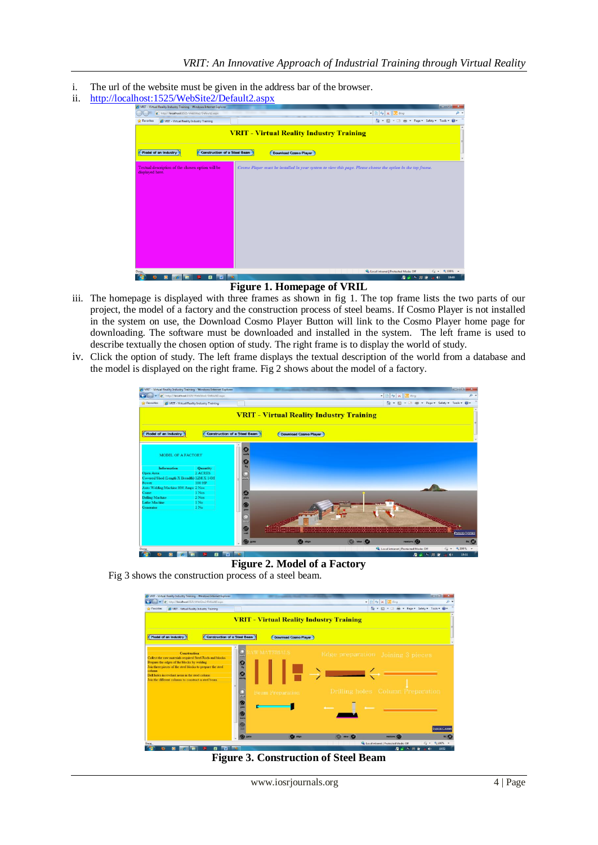- i. The url of the website must be given in the address bar of the browser.
- ii. <http://localhost:1525/WebSite2/Default2.aspx>



# **Figure 1. Homepage of VRIL**

- iii. The homepage is displayed with three frames as shown in fig 1. The top frame lists the two parts of our project, the model of a factory and the construction process of steel beams. If Cosmo Player is not installed in the system on use, the Download Cosmo Player Button will link to the Cosmo Player home page for downloading. The software must be downloaded and installed in the system. The left frame is used to describe textually the chosen option of study. The right frame is to display the world of study.
- iv. Click the option of study. The left frame displays the textual description of the world from a database and the model is displayed on the right frame. Fig 2 shows about the model of a factory.

| NRIT - Virtual Reality Industry Training - Windows Internet Explorer<br>D http://localhost:1525/WebSite2/Default2.aspx |                                     |                                                 |                                                                                  |                                                     | <b>Record Office</b><br>$-2$<br>$\Omega$ + |
|------------------------------------------------------------------------------------------------------------------------|-------------------------------------|-------------------------------------------------|----------------------------------------------------------------------------------|-----------------------------------------------------|--------------------------------------------|
|                                                                                                                        |                                     |                                                 |                                                                                  | $\bullet$ $\theta$ $\bullet$ $\times$ $\theta$ Bing |                                            |
| <b>Favorites</b><br>VRIT - Virtual Reality Industry Training                                                           |                                     |                                                 |                                                                                  | ☆ - 同 - □ 曲 - Page - Safety - Tools - 2             |                                            |
|                                                                                                                        |                                     |                                                 |                                                                                  |                                                     |                                            |
|                                                                                                                        |                                     | <b>VRIT - Virtual Reality Industry Training</b> |                                                                                  |                                                     |                                            |
|                                                                                                                        |                                     |                                                 |                                                                                  |                                                     |                                            |
|                                                                                                                        |                                     |                                                 |                                                                                  |                                                     |                                            |
| Model of an Industry                                                                                                   | <b>Construction of a Steel Beam</b> | <b>Download Cosmo Player</b>                    |                                                                                  |                                                     |                                            |
|                                                                                                                        |                                     |                                                 |                                                                                  |                                                     |                                            |
|                                                                                                                        |                                     |                                                 |                                                                                  |                                                     |                                            |
|                                                                                                                        |                                     |                                                 |                                                                                  |                                                     |                                            |
| MODEL OF A FACTORY                                                                                                     |                                     |                                                 |                                                                                  |                                                     |                                            |
|                                                                                                                        | $\mathbf{O}$                        |                                                 |                                                                                  |                                                     |                                            |
| <b>Information</b><br><b>Quantity</b>                                                                                  |                                     |                                                 |                                                                                  |                                                     |                                            |
| 2 ACRES<br><b>Open Area</b>                                                                                            |                                     |                                                 |                                                                                  |                                                     |                                            |
| Covered Shed (Length X Breadth) 12M X 14M<br>100 HP<br>Power                                                           | study                               |                                                 |                                                                                  |                                                     |                                            |
| Auto Welding Machine 800 Amps 2 Nos                                                                                    |                                     |                                                 |                                                                                  |                                                     |                                            |
| 1 Nos<br>Crane                                                                                                         | 33                                  |                                                 |                                                                                  |                                                     |                                            |
| 2 Nos<br><b>Drilling Machine</b>                                                                                       |                                     |                                                 |                                                                                  |                                                     |                                            |
| Lathe Machine<br>1 No                                                                                                  |                                     |                                                 |                                                                                  |                                                     |                                            |
| $1$ No<br>Generator                                                                                                    | Θ                                   |                                                 |                                                                                  |                                                     |                                            |
|                                                                                                                        |                                     |                                                 |                                                                                  |                                                     |                                            |
|                                                                                                                        |                                     |                                                 |                                                                                  |                                                     |                                            |
|                                                                                                                        | tum                                 |                                                 |                                                                                  |                                                     |                                            |
|                                                                                                                        | Θ                                   | TO BE SERVED ON FORM ON THE                     | <u>n de 1936 to 1938 et est en 1938 et est en en 1938 to 1938 et en 1938 et </u> |                                                     | <b>Contract</b>                            |
|                                                                                                                        | roll                                |                                                 |                                                                                  |                                                     | PARKING HOMES                              |
|                                                                                                                        | (x) goto                            | $\mathbf{G}$ algo                               | $\bullet$ $\bullet$ $\bullet$                                                    | restore <b>(a)</b>                                  | n <sub>0</sub>                             |
|                                                                                                                        |                                     |                                                 |                                                                                  | Local intranet   Protected Mode: Off                | $\sqrt{3}$ = $\frac{9}{100\%}$ =           |
|                                                                                                                        | w<br>œ                              |                                                 |                                                                                  | 温安尔用度                                               | 19:51<br>$\blacktriangleleft$              |

**Figure 2. Model of a Factory** Fig 3 shows the construction process of a steel beam.



**Figure 3. Construction of Steel Beam**